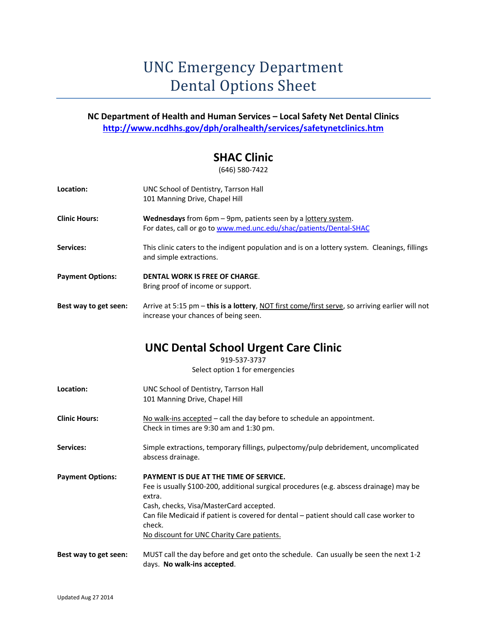# UNC Emergency Department Dental Options Sheet

#### **NC Department of Health and Human Services – Local Safety Net Dental Clinics http://www.ncdhhs.gov/dph/oralhealth/services/safetynetclinics.htm**

#### **SHAC Clinic**

(646) 580‐7422

| Location:               | UNC School of Dentistry, Tarrson Hall<br>101 Manning Drive, Chapel Hill                                                                                                                                                                                                                                                                   |
|-------------------------|-------------------------------------------------------------------------------------------------------------------------------------------------------------------------------------------------------------------------------------------------------------------------------------------------------------------------------------------|
| <b>Clinic Hours:</b>    | Wednesdays from 6pm - 9pm, patients seen by a lottery system.<br>For dates, call or go to www.med.unc.edu/shac/patients/Dental-SHAC                                                                                                                                                                                                       |
| Services:               | This clinic caters to the indigent population and is on a lottery system. Cleanings, fillings<br>and simple extractions.                                                                                                                                                                                                                  |
| <b>Payment Options:</b> | <b>DENTAL WORK IS FREE OF CHARGE.</b><br>Bring proof of income or support.                                                                                                                                                                                                                                                                |
| Best way to get seen:   | Arrive at 5:15 pm - this is a lottery, NOT first come/first serve, so arriving earlier will not<br>increase your chances of being seen.                                                                                                                                                                                                   |
|                         | <b>UNC Dental School Urgent Care Clinic</b><br>919-537-3737                                                                                                                                                                                                                                                                               |
|                         | Select option 1 for emergencies                                                                                                                                                                                                                                                                                                           |
| Location:               | UNC School of Dentistry, Tarrson Hall<br>101 Manning Drive, Chapel Hill                                                                                                                                                                                                                                                                   |
| <b>Clinic Hours:</b>    | No walk-ins accepted - call the day before to schedule an appointment.<br>Check in times are 9:30 am and 1:30 pm.                                                                                                                                                                                                                         |
| Services:               | Simple extractions, temporary fillings, pulpectomy/pulp debridement, uncomplicated<br>abscess drainage.                                                                                                                                                                                                                                   |
| <b>Payment Options:</b> | PAYMENT IS DUE AT THE TIME OF SERVICE.<br>Fee is usually \$100-200, additional surgical procedures (e.g. abscess drainage) may be<br>extra.<br>Cash, checks, Visa/MasterCard accepted.<br>Can file Medicaid if patient is covered for dental - patient should call case worker to<br>check.<br>No discount for UNC Charity Care patients. |
| Best way to get seen:   | MUST call the day before and get onto the schedule. Can usually be seen the next 1-2<br>days. No walk-ins accepted.                                                                                                                                                                                                                       |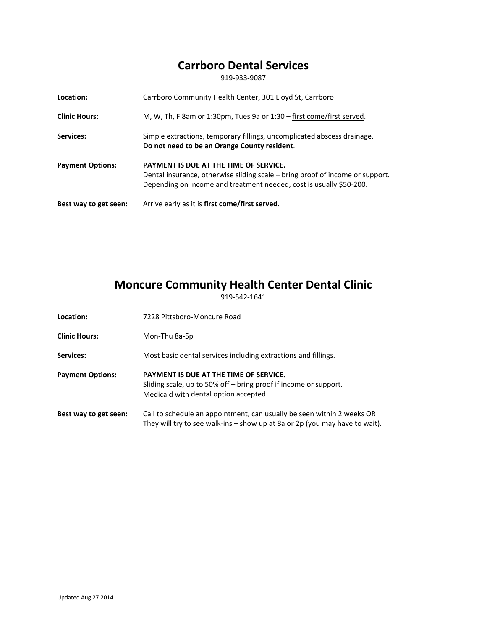### **Carrboro Dental Services**

919‐933‐9087

| Location:               | Carrboro Community Health Center, 301 Lloyd St, Carrboro                                                                                                                                       |
|-------------------------|------------------------------------------------------------------------------------------------------------------------------------------------------------------------------------------------|
| <b>Clinic Hours:</b>    | M, W, Th, F 8am or 1:30pm, Tues 9a or $1:30 -$ first come/first served.                                                                                                                        |
| Services:               | Simple extractions, temporary fillings, uncomplicated abscess drainage.<br>Do not need to be an Orange County resident.                                                                        |
| <b>Payment Options:</b> | PAYMENT IS DUE AT THE TIME OF SERVICE.<br>Dental insurance, otherwise sliding scale – bring proof of income or support.<br>Depending on income and treatment needed, cost is usually \$50-200. |
| Best way to get seen:   | Arrive early as it is first come/first served.                                                                                                                                                 |

### **Moncure Community Health Center Dental Clinic**

919‐542‐1641

- Location: **1228 Pittsboro-Moncure Road**
- **Clinic Hours:** Mon‐Thu 8a‐5p
- Services: Most basic dental services including extractions and fillings.
- **Payment Options: PAYMENT IS DUE AT THE TIME OF SERVICE.** Sliding scale, up to 50% off – bring proof if income or support. Medicaid with dental option accepted.
- **Best way to get seen:** Call to schedule an appointment, can usually be seen within 2 weeks OR They will try to see walk-ins – show up at 8a or 2p (you may have to wait).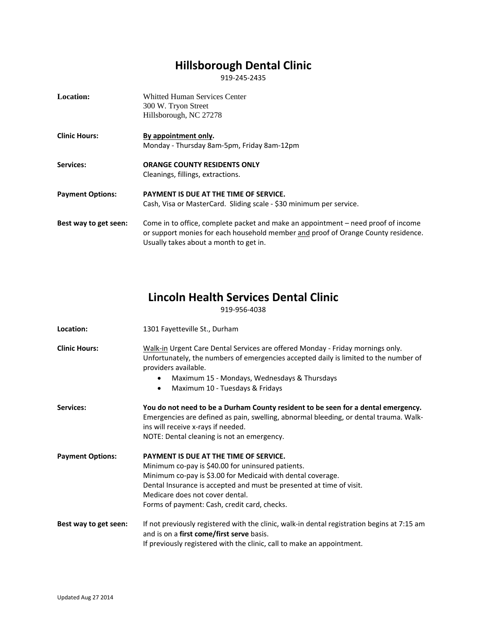## **Hillsborough Dental Clinic**

919‐245‐2435

| Location:               | <b>Whitted Human Services Center</b><br>300 W. Tryon Street<br>Hillsborough, NC 27278                                                                                                                            |
|-------------------------|------------------------------------------------------------------------------------------------------------------------------------------------------------------------------------------------------------------|
| <b>Clinic Hours:</b>    | By appointment only.                                                                                                                                                                                             |
|                         | Monday - Thursday 8am-5pm, Friday 8am-12pm                                                                                                                                                                       |
| Services:               | <b>ORANGE COUNTY RESIDENTS ONLY</b>                                                                                                                                                                              |
|                         | Cleanings, fillings, extractions.                                                                                                                                                                                |
| <b>Payment Options:</b> | PAYMENT IS DUE AT THE TIME OF SERVICE.                                                                                                                                                                           |
|                         | Cash, Visa or MasterCard. Sliding scale - \$30 minimum per service.                                                                                                                                              |
| Best way to get seen:   | Come in to office, complete packet and make an appointment – need proof of income<br>or support monies for each household member and proof of Orange County residence.<br>Usually takes about a month to get in. |

### **Lincoln Health Services Dental Clinic**

919‐956‐4038

| Location:               | 1301 Fayetteville St., Durham                                                                                                                                                                                                                                                                                         |
|-------------------------|-----------------------------------------------------------------------------------------------------------------------------------------------------------------------------------------------------------------------------------------------------------------------------------------------------------------------|
| <b>Clinic Hours:</b>    | Walk-in Urgent Care Dental Services are offered Monday - Friday mornings only.<br>Unfortunately, the numbers of emergencies accepted daily is limited to the number of<br>providers available.<br>Maximum 15 - Mondays, Wednesdays & Thursdays<br>Maximum 10 - Tuesdays & Fridays                                     |
| Services:               | You do not need to be a Durham County resident to be seen for a dental emergency.<br>Emergencies are defined as pain, swelling, abnormal bleeding, or dental trauma. Walk-<br>ins will receive x-rays if needed.<br>NOTE: Dental cleaning is not an emergency.                                                        |
| <b>Payment Options:</b> | PAYMENT IS DUE AT THE TIME OF SERVICE.<br>Minimum co-pay is \$40.00 for uninsured patients.<br>Minimum co-pay is \$3.00 for Medicaid with dental coverage.<br>Dental Insurance is accepted and must be presented at time of visit.<br>Medicare does not cover dental.<br>Forms of payment: Cash, credit card, checks. |
| Best way to get seen:   | If not previously registered with the clinic, walk-in dental registration begins at 7:15 am<br>and is on a first come/first serve basis.<br>If previously registered with the clinic, call to make an appointment.                                                                                                    |